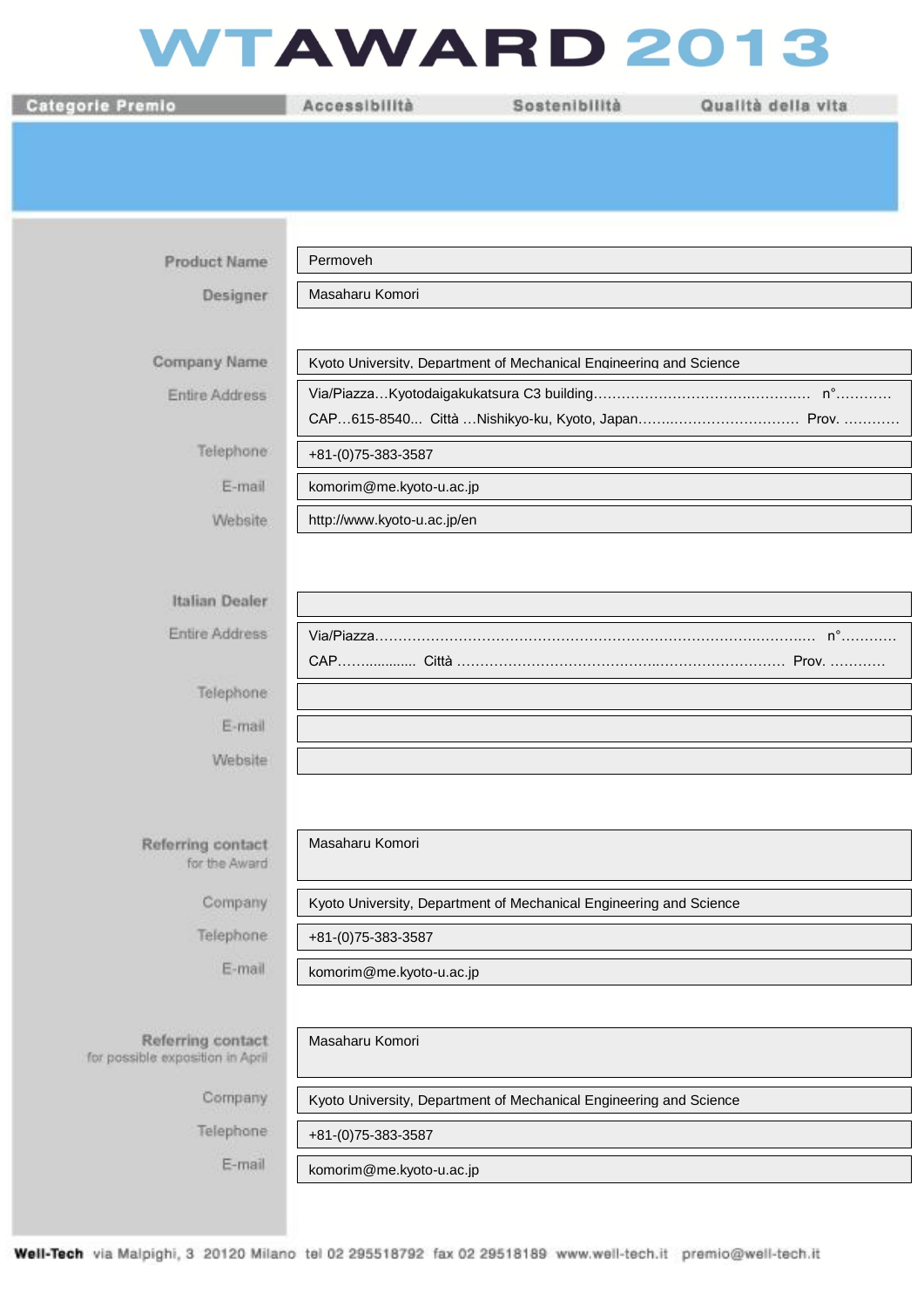## WTAWARD 2013

| <b>Categorie Premio</b>                               | Accessibilità               | Sostenibilità                                                      | Qualità della vita |  |
|-------------------------------------------------------|-----------------------------|--------------------------------------------------------------------|--------------------|--|
|                                                       |                             |                                                                    |                    |  |
|                                                       |                             |                                                                    |                    |  |
|                                                       |                             |                                                                    |                    |  |
|                                                       |                             |                                                                    |                    |  |
| <b>Product Name</b>                                   | Permoveh                    |                                                                    |                    |  |
| Designer                                              | Masaharu Komori             |                                                                    |                    |  |
| Company Name                                          |                             | Kvoto University, Department of Mechanical Engineering and Science |                    |  |
| <b>Entire Address</b>                                 |                             |                                                                    |                    |  |
|                                                       |                             |                                                                    |                    |  |
| Telephone                                             | +81-(0)75-383-3587          |                                                                    |                    |  |
| E-mail                                                | komorim@me.kyoto-u.ac.jp    |                                                                    |                    |  |
| Website:                                              | http://www.kyoto-u.ac.jp/en |                                                                    |                    |  |
|                                                       |                             |                                                                    |                    |  |
| Italian Dealer                                        |                             |                                                                    |                    |  |
| Entire Address                                        |                             |                                                                    |                    |  |
|                                                       |                             |                                                                    |                    |  |
| Telephone                                             |                             |                                                                    |                    |  |
| E-mail                                                |                             |                                                                    |                    |  |
| Website                                               |                             |                                                                    |                    |  |
|                                                       |                             |                                                                    |                    |  |
|                                                       |                             |                                                                    |                    |  |
| Referring contact<br>for the Award                    | Masaharu Komori             |                                                                    |                    |  |
| Company                                               |                             | Kyoto University, Department of Mechanical Engineering and Science |                    |  |
| Telephone                                             | +81-(0)75-383-3587          |                                                                    |                    |  |
| E-mail                                                | komorim@me.kyoto-u.ac.jp    |                                                                    |                    |  |
|                                                       |                             |                                                                    |                    |  |
| Referring contact<br>for possible exposition in April | Masaharu Komori             |                                                                    |                    |  |
| Company                                               |                             | Kyoto University, Department of Mechanical Engineering and Science |                    |  |
| Telephone                                             | +81-(0)75-383-3587          |                                                                    |                    |  |
| E-mail                                                | komorim@me.kyoto-u.ac.jp    |                                                                    |                    |  |
|                                                       |                             |                                                                    |                    |  |